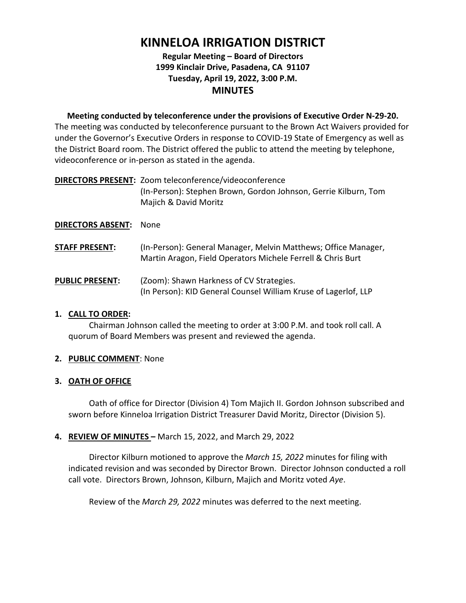# **KINNELOA IRRIGATION DISTRICT**

# **Regular Meeting – Board of Directors 1999 Kinclair Drive, Pasadena, CA 91107 Tuesday, April 19, 2022, 3:00 P.M. MINUTES**

**Meeting conducted by teleconference under the provisions of Executive Order N-29-20.** The meeting was conducted by teleconference pursuant to the Brown Act Waivers provided for under the Governor's Executive Orders in response to COVID-19 State of Emergency as well as the District Board room. The District offered the public to attend the meeting by telephone, videoconference or in-person as stated in the agenda.

**DIRECTORS PRESENT:** Zoom teleconference/videoconference (In-Person): Stephen Brown, Gordon Johnson, Gerrie Kilburn, Tom Majich & David Moritz

## **DIRECTORS ABSENT:** None

- **STAFF PRESENT:** (In-Person): General Manager, Melvin Matthews; Office Manager, Martin Aragon, Field Operators Michele Ferrell & Chris Burt
- **PUBLIC PRESENT:** (Zoom): Shawn Harkness of CV Strategies. (In Person): KID General Counsel William Kruse of Lagerlof, LLP

## **1. CALL TO ORDER:**

Chairman Johnson called the meeting to order at 3:00 P.M. and took roll call. A quorum of Board Members was present and reviewed the agenda.

# **2. PUBLIC COMMENT**: None

# **3. OATH OF OFFICE**

Oath of office for Director (Division 4) Tom Majich II. Gordon Johnson subscribed and sworn before Kinneloa Irrigation District Treasurer David Moritz, Director (Division 5).

# **4. REVIEW OF MINUTES –** March 15, 2022, and March 29, 2022

Director Kilburn motioned to approve the *March 15, 2022* minutes for filing with indicated revision and was seconded by Director Brown. Director Johnson conducted a roll call vote. Directors Brown, Johnson, Kilburn, Majich and Moritz voted *Aye*.

Review of the *March 29, 2022* minutes was deferred to the next meeting.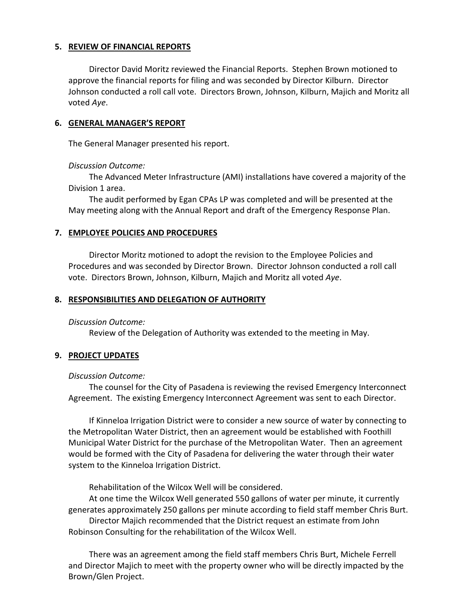#### **5. REVIEW OF FINANCIAL REPORTS**

Director David Moritz reviewed the Financial Reports. Stephen Brown motioned to approve the financial reports for filing and was seconded by Director Kilburn. Director Johnson conducted a roll call vote. Directors Brown, Johnson, Kilburn, Majich and Moritz all voted *Aye*.

#### **6. GENERAL MANAGER'S REPORT**

The General Manager presented his report.

#### *Discussion Outcome:*

The Advanced Meter Infrastructure (AMI) installations have covered a majority of the Division 1 area.

The audit performed by Egan CPAs LP was completed and will be presented at the May meeting along with the Annual Report and draft of the Emergency Response Plan.

## **7. EMPLOYEE POLICIES AND PROCEDURES**

Director Moritz motioned to adopt the revision to the Employee Policies and Procedures and was seconded by Director Brown. Director Johnson conducted a roll call vote. Directors Brown, Johnson, Kilburn, Majich and Moritz all voted *Aye*.

#### **8. RESPONSIBILITIES AND DELEGATION OF AUTHORITY**

#### *Discussion Outcome:*

Review of the Delegation of Authority was extended to the meeting in May.

## **9. PROJECT UPDATES**

#### *Discussion Outcome:*

The counsel for the City of Pasadena is reviewing the revised Emergency Interconnect Agreement. The existing Emergency Interconnect Agreement was sent to each Director.

If Kinneloa Irrigation District were to consider a new source of water by connecting to the Metropolitan Water District, then an agreement would be established with Foothill Municipal Water District for the purchase of the Metropolitan Water. Then an agreement would be formed with the City of Pasadena for delivering the water through their water system to the Kinneloa Irrigation District.

Rehabilitation of the Wilcox Well will be considered.

At one time the Wilcox Well generated 550 gallons of water per minute, it currently generates approximately 250 gallons per minute according to field staff member Chris Burt. Director Majich recommended that the District request an estimate from John Robinson Consulting for the rehabilitation of the Wilcox Well.

There was an agreement among the field staff members Chris Burt, Michele Ferrell and Director Majich to meet with the property owner who will be directly impacted by the Brown/Glen Project.